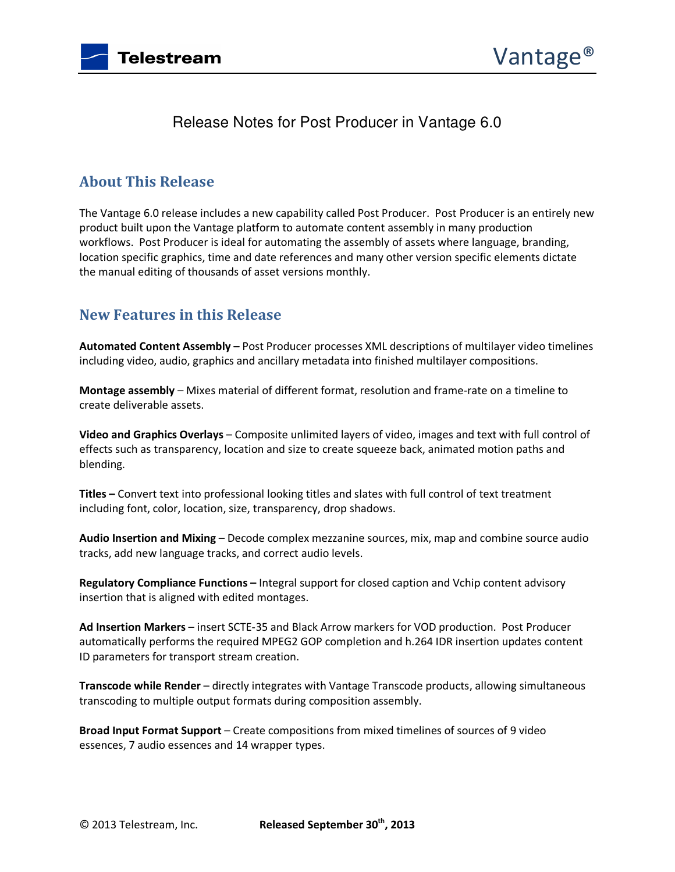



## Release Notes for Post Producer in Vantage 6.0

#### **About This Release**

The Vantage 6.0 release includes a new capability called Post Producer. Post Producer is an entirely new product built upon the Vantage platform to automate content assembly in many production workflows. Post Producer is ideal for automating the assembly of assets where language, branding, location specific graphics, time and date references and many other version specific elements dictate the manual editing of thousands of asset versions monthly.

#### **New Features in this Release**

**Automated Content Assembly –** Post Producer processes XML descriptions of multilayer video timelines including video, audio, graphics and ancillary metadata into finished multilayer compositions.

**Montage assembly** – Mixes material of different format, resolution and frame-rate on a timeline to create deliverable assets.

**Video and Graphics Overlays** – Composite unlimited layers of video, images and text with full control of effects such as transparency, location and size to create squeeze back, animated motion paths and blending.

**Titles –** Convert text into professional looking titles and slates with full control of text treatment including font, color, location, size, transparency, drop shadows.

**Audio Insertion and Mixing** – Decode complex mezzanine sources, mix, map and combine source audio tracks, add new language tracks, and correct audio levels.

**Regulatory Compliance Functions –** Integral support for closed caption and Vchip content advisory insertion that is aligned with edited montages.

**Ad Insertion Markers** – insert SCTE-35 and Black Arrow markers for VOD production. Post Producer automatically performs the required MPEG2 GOP completion and h.264 IDR insertion updates content ID parameters for transport stream creation.

**Transcode while Render** – directly integrates with Vantage Transcode products, allowing simultaneous transcoding to multiple output formats during composition assembly.

**Broad Input Format Support** – Create compositions from mixed timelines of sources of 9 video essences, 7 audio essences and 14 wrapper types.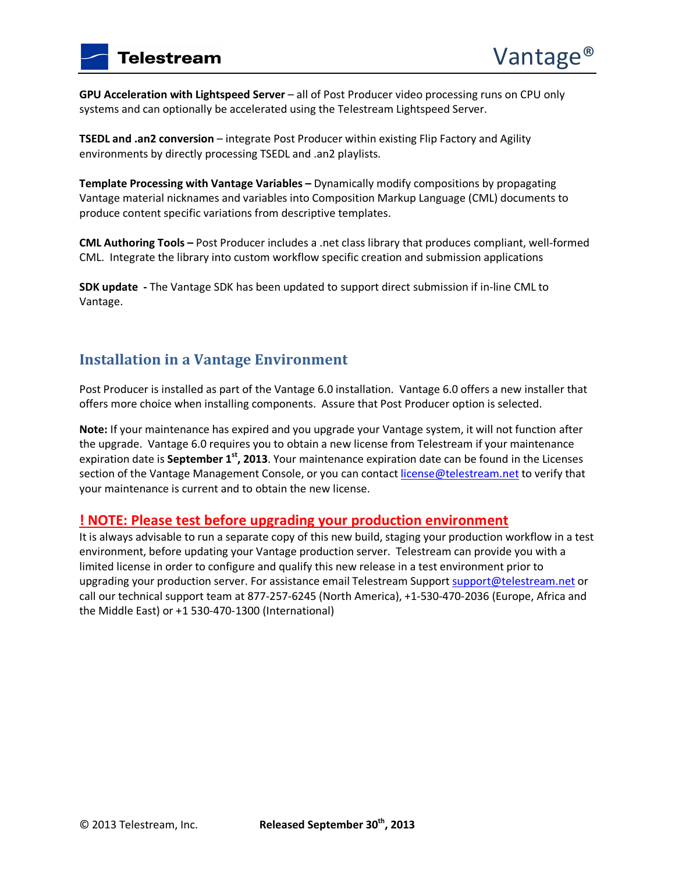**GPU Acceleration with Lightspeed Server** – all of Post Producer video processing runs on CPU only systems and can optionally be accelerated using the Telestream Lightspeed Server.

**TSEDL and .an2 conversion** – integrate Post Producer within existing Flip Factory and Agility environments by directly processing TSEDL and .an2 playlists.

**Template Processing with Vantage Variables –** Dynamically modify compositions by propagating Vantage material nicknames and variables into Composition Markup Language (CML) documents to produce content specific variations from descriptive templates.

**CML Authoring Tools –** Post Producer includes a .net class library that produces compliant, well-formed CML. Integrate the library into custom workflow specific creation and submission applications

**SDK update -** The Vantage SDK has been updated to support direct submission if in-line CML to Vantage.

### **Installation in a Vantage Environment**

Post Producer is installed as part of the Vantage 6.0 installation. Vantage 6.0 offers a new installer that offers more choice when installing components. Assure that Post Producer option is selected.

**Note:** If your maintenance has expired and you upgrade your Vantage system, it will not function after the upgrade. Vantage 6.0 requires you to obtain a new license from Telestream if your maintenance expiration date is **September 1st, 2013**. Your maintenance expiration date can be found in the Licenses section of the Vantage Management Console, or you can contact license@telestream.net to verify that your maintenance is current and to obtain the new license.

#### **! NOTE: Please test before upgrading your production environment**

It is always advisable to run a separate copy of this new build, staging your production workflow in a test environment, before updating your Vantage production server. Telestream can provide you with a limited license in order to configure and qualify this new release in a test environment prior to upgrading your production server. For assistance email Telestream Support support@telestream.net or call our technical support team at 877-257-6245 (North America), +1-530-470-2036 (Europe, Africa and the Middle East) or +1 530-470-1300 (International)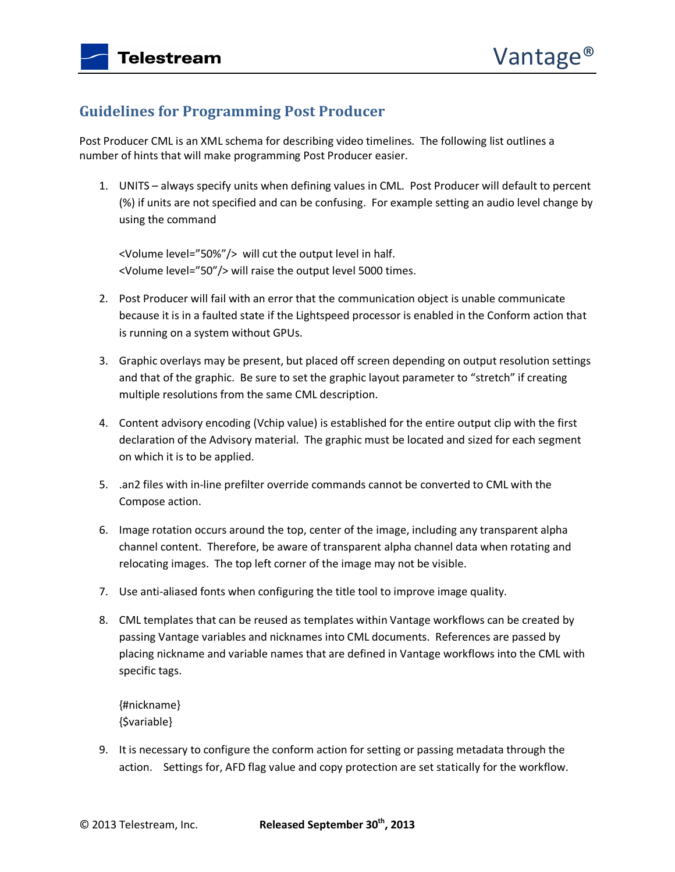# **Guidelines for Programming Post Producer**

Post Producer CML is an XML schema for describing video timelines. The following list outlines a number of hints that will make programming Post Producer easier.

1. UNITS – always specify units when defining values in CML. Post Producer will default to percent (%) if units are not specified and can be confusing. For example setting an audio level change by using the command

<Volume level="50%"/> will cut the output level in half. <Volume level="50"/> will raise the output level 5000 times.

- 2. Post Producer will fail with an error that the communication object is unable communicate because it is in a faulted state if the Lightspeed processor is enabled in the Conform action that is running on a system without GPUs.
- 3. Graphic overlays may be present, but placed off screen depending on output resolution settings and that of the graphic. Be sure to set the graphic layout parameter to "stretch" if creating multiple resolutions from the same CML description.
- 4. Content advisory encoding (Vchip value) is established for the entire output clip with the first declaration of the Advisory material. The graphic must be located and sized for each segment on which it is to be applied.
- 5. .an2 files with in-line prefilter override commands cannot be converted to CML with the Compose action.
- 6. Image rotation occurs around the top, center of the image, including any transparent alpha channel content. Therefore, be aware of transparent alpha channel data when rotating and relocating images. The top left corner of the image may not be visible.
- 7. Use anti-aliased fonts when configuring the title tool to improve image quality.
- 8. CML templates that can be reused as templates within Vantage workflows can be created by passing Vantage variables and nicknames into CML documents. References are passed by placing nickname and variable names that are defined in Vantage workflows into the CML with specific tags.

{#nickname} {\$variable}

9. It is necessary to configure the conform action for setting or passing metadata through the action. Settings for, AFD flag value and copy protection are set statically for the workflow.